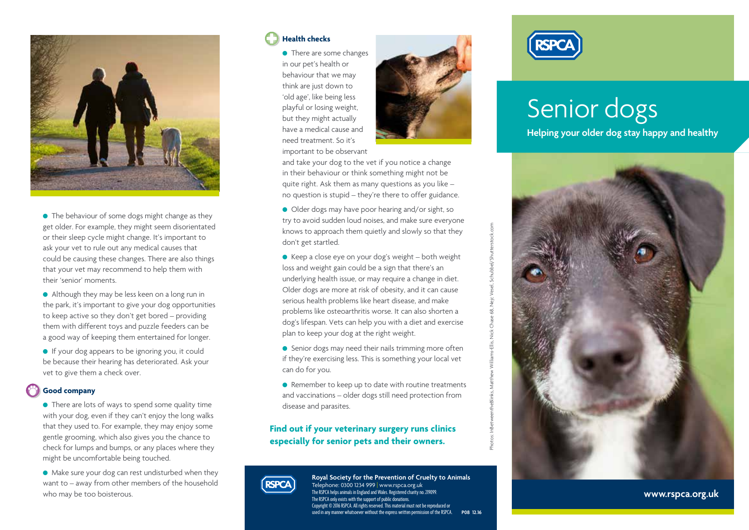

• The behaviour of some dogs might change as they get older. For example, they might seem disorientated or their sleep cycle might change. It's important to ask your vet to rule out any medical causes that could be causing these changes. There are also things that your vet may recommend to help them with their 'senior' moments.

- $\bullet$  Although they may be less keen on a long run in the park, it's important to give your dog opportunities to keep active so they don't get bored – providing them with different toys and puzzle feeders can be a good way of keeping them entertained for longer.
- **If your dog appears to be ignoring you, it could** be because their hearing has deteriorated. Ask your vet to give them a check over.

#### **Good company**

- $\bullet$  There are lots of ways to spend some quality time with your dog, even if they can't enjoy the long walks that they used to. For example, they may enjoy some gentle grooming, which also gives you the chance to check for lumps and bumps, or any places where they might be uncomfortable being touched.
- $\bullet$  Make sure your dog can rest undisturbed when they want to – away from other members of the household who may be too boisterous.

#### **Health checks**

• There are some changes in our pet's health or behaviour that we may think are just down to 'old age', like being less playful or losing weight, but they might actually have a medical cause and need treatment. So it's important to be observant



Photos: InBetweentheBlinks, Matthew Williams-Ellis, Nick Chase 68, Nejc Vesel, Schubbel/Shutterstock.com

and take your dog to the vet if you notice a change in their behaviour or think something might not be quite right. Ask them as many questions as you like – no question is stupid – they're there to offer guidance.

- Older dogs may have poor hearing and/or sight, so try to avoid sudden loud noises, and make sure everyone knows to approach them quietly and slowly so that they don't get startled.
- $\bullet$  Keep a close eye on your dog's weight both weight loss and weight gain could be a sign that there's an underlying health issue, or may require a change in diet. Older dogs are more at risk of obesity, and it can cause serious health problems like heart disease, and make problems like osteoarthritis worse. It can also shorten a dog's lifespan. Vets can help you with a diet and exercise plan to keep your dog at the right weight.
- **•** Senior dogs may need their nails trimming more often if they're exercising less. This is something your local vet can do for you.
- Remember to keep up to date with routine treatments and vaccinations – older dogs still need protection from disease and parasites.

### **Find out if your veterinary surgery runs clinics especially for senior pets and their owners.**



**Royal Society for the Prevention of Cruelty to Animals** Telephone: 0300 1234 999 | www.rspca.org.uk The RSPCA helps animals in England and Wales. Registered charity no. 219099. The RSPCA only exists with the support of public donations. Copyright © 2016 RSPCA. All rights reserved. This material must not be reproduced or used in any manner whatsoever without the express written permission of the RSPCA. **P08 12.16**



# Senior dogs

**Helping your older dog stay happy and healthy**



**www.rspca.org.uk**